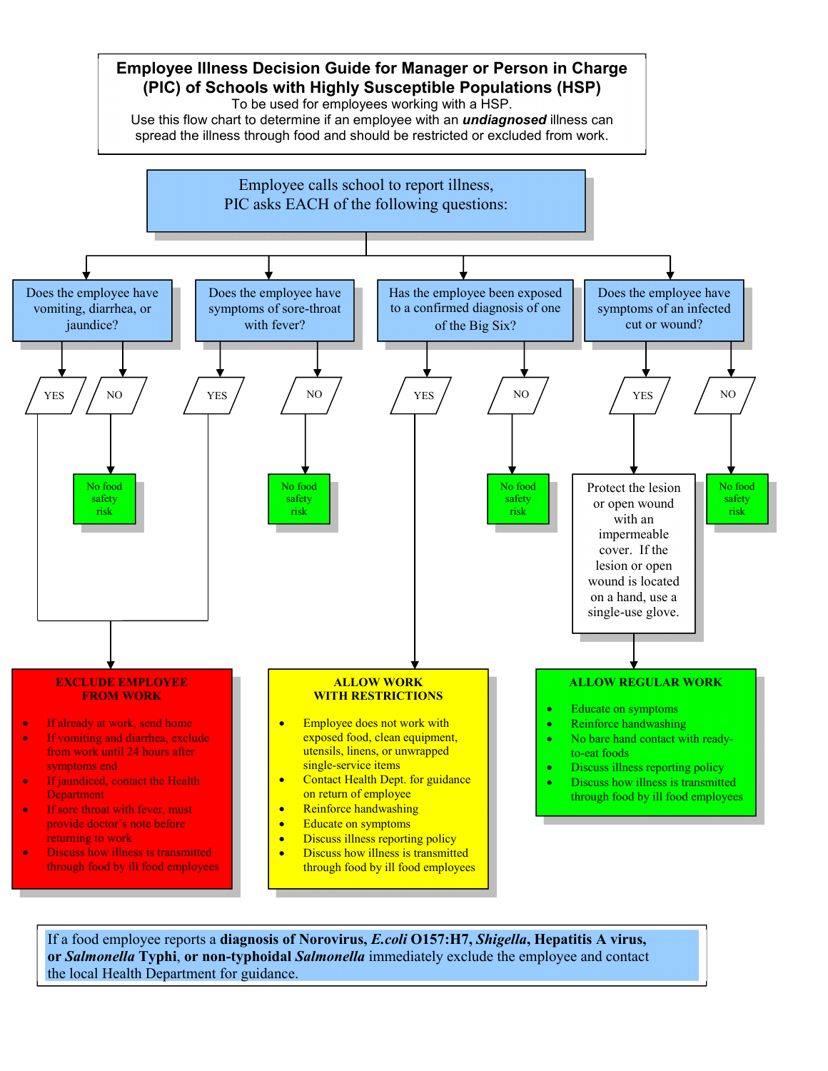

If a food employee reports a **diagnosis of Norovirus,** *E.coli* **O157:H7,** *Shigella***, Hepatitis A virus, or** *Salmonella* **Typhi**, **or non-typhoidal** *Salmonella* immediately exclude the employee and contact the local Health Department for guidance.